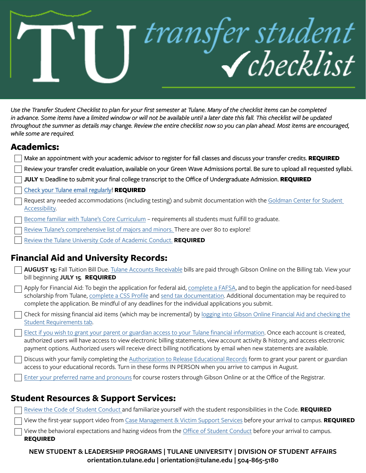# transfer student

Use the Transfer Student Checklist to plan for your first semester at Tulane. Many of the checklist items can be completed *in advance. Some items have a limited window or will not be available until a later date this fall. This checklist will be updated throughout the summer as details may change. Review the entire checklist now so you can plan ahead. Most items are encouraged, while some are required.* 

# **Academics:**

| Make an appointment with your academic advisor to register for fall classes and discuss your transfer credits. REQUIRED                                                                                                                                                                                                                                                                     |
|---------------------------------------------------------------------------------------------------------------------------------------------------------------------------------------------------------------------------------------------------------------------------------------------------------------------------------------------------------------------------------------------|
| Review your transfer credit evaluation, available on your Green Wave Admissions portal. Be sure to upload all requested syllabi.                                                                                                                                                                                                                                                            |
| JULY 1: Deadline to submit your final college transcript to the Office of Undergraduate Admission. REQUIRED                                                                                                                                                                                                                                                                                 |
| Check your Tulane email regularly! REQUIRED                                                                                                                                                                                                                                                                                                                                                 |
| Request any needed accommodations (including testing) and submit documentation with the Goldman Center for Student<br>Accessibility.                                                                                                                                                                                                                                                        |
| Become familiar with Tulane's Core Curriculum - requirements all students must fulfill to graduate.                                                                                                                                                                                                                                                                                         |
| Review Tulane's comprehensive list of majors and minors. There are over 80 to explore!                                                                                                                                                                                                                                                                                                      |
| Review the Tulane University Code of Academic Conduct. REQUIRED                                                                                                                                                                                                                                                                                                                             |
| <b>Financial Aid and University Records:</b>                                                                                                                                                                                                                                                                                                                                                |
| AUGUST 15: Fall Tuition Bill Due. Tulane Accounts Receivable bills are paid through Gibson Online on the Billing tab. View your<br>bill beginning JULY 15. REQUIRED                                                                                                                                                                                                                         |
| Apply for Financial Aid: To begin the application for federal aid, complete a FAFSA, and to begin the application for need-based<br>scholarship from Tulane, complete a CSS Profile and send tax documentation. Additional documentation may be required to<br>complete the application. Be mindful of any deadlines for the individual applications you submit.                            |
| Check for missing financial aid items (which may be incremental) by logging into Gibson Online Financial Aid and checking the<br>Student Requirements tab.                                                                                                                                                                                                                                  |
| Elect if you wish to grant your parent or guardian access to your Tulane financial information. Once each account is created,<br>authorized users will have access to view electronic billing statements, view account activity & history, and access electronic<br>payment options. Authorized users will receive direct billing notifications by email when new statements are available. |
| Discuss with your family completing the Authorization to Release Educational Records form to grant your parent or guardian<br>access to your educational records. Turn in these forms IN PERSON when you arrive to campus in August.                                                                                                                                                        |
| Enter your preferred name and pronouns for course rosters through Gibson Online or at the Office of the Registrar.                                                                                                                                                                                                                                                                          |
|                                                                                                                                                                                                                                                                                                                                                                                             |
| <b>Student Resources &amp; Support Services:</b>                                                                                                                                                                                                                                                                                                                                            |
| Review the Code of Student Conduct and familiarize yourself with the student responsibilities in the Code. REQUIRED                                                                                                                                                                                                                                                                         |
| View the first-year support video from Case Management & Victim Support Services before your arrival to campus. REQUIRED                                                                                                                                                                                                                                                                    |
| View the behavioral expectations and hazing videos from the Office of Student Conduct before your arrival to campus.                                                                                                                                                                                                                                                                        |

# **Student Resources & Support Services:**

| Review the Code of Student Conduct and familiarize yourself with the student responsibilities in the Code. REQUIRED         |
|-----------------------------------------------------------------------------------------------------------------------------|
| View the first-year support video from Case Management & Victim Support Services before your arrival to campus. REQUIRED    |
| $\Box$ View the behavioral expectations and hazing videos from the Office of Student Conduct before your arrival to campus. |
| <b>REQUIRED</b>                                                                                                             |

**NEW STUDENT & LEADERSHIP PROGRAMS | TULANE UNIVERSITY | DIVISION OF STUDENT AFFAIRS orientation.tulane.edu | orientation@tulane.edu | 504-865-5180**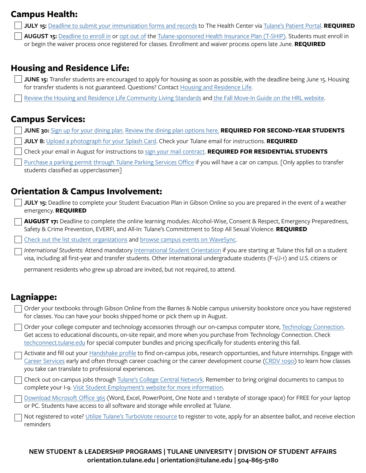# **Campus Health:**

- **JULY 15:** [Deadline to submit your immunization forms and records](https://campushealth.tulane.edu/patient-portal/immunization-compliance) to The Health Center via [Tulane's Patient Portal](https://campushealth.tulane.edu/patient-portal). **REQUIRED**
	- **AUGUST 15:** [Deadline to enroll in](https://campushealth.tulane.edu/insurance-billing/how-request-t-ship-coverage) or [opt out of](https://campushealth.tulane.edu/insurance-billing/how-opt-out-t-ship) the [Tulane-sponsored Health Insurance Plan \(T-SHIP\)](https://campushealth.tulane.edu/insurance-billing/t-ship). Students must enroll in or begin the waiver process once registered for classes. Enrollment and waiver process opens late June. **REQUIRED**

# **Housing and Residence Life:**

- **JUNE 15:** Transfer students are encouraged to apply for housing as soon as possible, with the deadline being June 15. Housing for transfer students is not guaranteed. Questions? Contact [Housing and Residence Life.](https://housing.tulane.edu/)
	- [Review the Housing and Residence Life Community Living Standards](https://housing.tulane.edu/residence-life/community-living-standards) an[d the Fall Move-In Guide](https://housing.tulane.edu/housing-logistics/move) on the HRL website.

# **Campus Services:**

- **JUNE 30:** [Sign up for your dining plan.](http://mealplan.tulane.edu/) [Review the dining plan options here.](https://diningservices.tulane.edu/my-dining-plan/dining-plans) **REQUIRED FOR SECOND-YEAR STUDENTS**
	- **JULY 8:** [Upload a photograph for your Splash Card](https://splashcard.tulane.edu/content/online-photo-submission). Check your Tulane email for instructions. **REQUIRED**
	- Check your email in August for instructions to [sign your mail contract.](https://mailservices.tulane.edu/content/student-mailing-shipping) **REQUIRED FOR RESIDENTIAL STUDENTS**
	- [Purchase a parking permit through Tulane Parking Services Office](https://campusservices.tulane.edu/departments/parking) if you will have a car on campus. [Only applies to transfer students classified as upperclassmen]

# **Orientation & Campus Involvement:**

- **JULY 15:** Deadline to complete your Student Evacuation Plan in Gibson Online so you are prepared in the event of a weather emergency. **REQUIRED**
	- **AUGUST 17:** Deadline to complete the online learning modules: Alcohol-Wise, Consent & Respect, Emergency Preparedness, Safety & Crime Prevention, EVERFI, and All-In: Tulane's Committment to Stop All Sexual Violence. **REQUIRED**

[Check out the list student organizations](http://studentorgs.tulane.edu) and [browse campus events on WaveSync.](https://tulane.campuslabs.com/engage/)

*International Students: Attend mandatory* [International Student Orientation](https://global.tulane.edu/oiss) if you are starting at Tulane this fall on a student visa, including all first-year and transfer students. Other international undergraduate students (F-1/J-1) and U.S. citizens or

permanent residents who grew up abroad are invited, but not required, to attend.

# **Lagniappe:**

| Order your textbooks through Gibson Online from the Barnes & Noble campus university bookstore once you have registered |
|-------------------------------------------------------------------------------------------------------------------------|
| for classes. You can have your books shipped home or pick them up in August.                                            |

Order your college computer and technology accessories through our on-campus computer store, [Technology Connection.](http://techconnect.tulane.edu/) Get access to educational discounts, on-site repair, and more when you purchase from Technology Connection. Check [techconnect.tulane.edu](http://techconnect.tulane.edu/) for special computer bundles and pricing specifically for students entering this fall.

Activate and fill out your [Handshake profile](https://tulane.joinhandshake.com/login) to find on-campus jobs, research opportunties, and future internships. Engage with [Career Services](https://hiretulane.tulane.edu/) early and often through career coaching or the career development course [\(CRDV 1090\)](https://hiretulane.tulane.edu/prepare/crdv-1090) to learn how classes you take can translate to professional experiences.

Check out on-campus jobs through [Tulane's College Central Network.](https://www.collegecentral.com/tulane/) Remember to bring original documents to campus to complete your I-9. [Visit Student Employment's website for more information](https://hr.tulane.edu/student-employment/home).

[Download Microsoft Office 365](https://it.tulane.edu/microsoft-office-365) (Word, Excel, PowerPoint, One Note and 1 terabyte of storage space) for FREE for your laptop or PC. Students have access to all software and storage while enrolled at Tulane.

Not registered to vote? [Utilize Tulane's TurboVote resource](https://tulane.turbovote.org/) to register to vote, apply for an absentee ballot, and receive election reminders

### **NEW STUDENT & LEADERSHIP PROGRAMS | TULANE UNIVERSITY | DIVISION OF STUDENT AFFAIRS orientation.tulane.edu | orientation@tulane.edu | 504-865-5180**